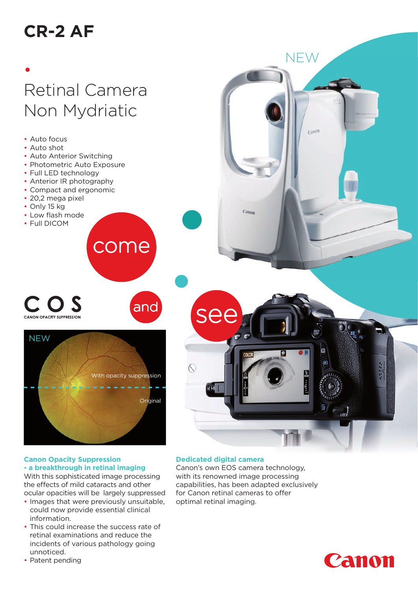# **CR-2 AF**

• Auto focus • Auto shot

• Auto Anterior Switching • Photometric Auto Exposure

• Full LED technology • Anterior IR photography • Compact and ergonomic

• 20,2 mega pixel • Only 15 kg • Low flash mode • Full DICOM

# • Retinal Camera Non Mydriatic



come

#### **Canon Opacity Suppression - a breakthrough in retinal imaging**

With this sophisticated image processing the effects of mild cataracts and other ocular opacities will be largely suppressed

- Images that were previously unsuitable, could now provide essential clinical information.
- This could increase the success rate of retinal examinations and reduce the incidents of various pathology going unnoticed.
- Patent pending



**NEW** 

# **Dedicated digital camera**

Canon's own EOS camera technology, with its renowned image processing capabilities, has been adapted exclusively for Canon retinal cameras to offer optimal retinal imaging.